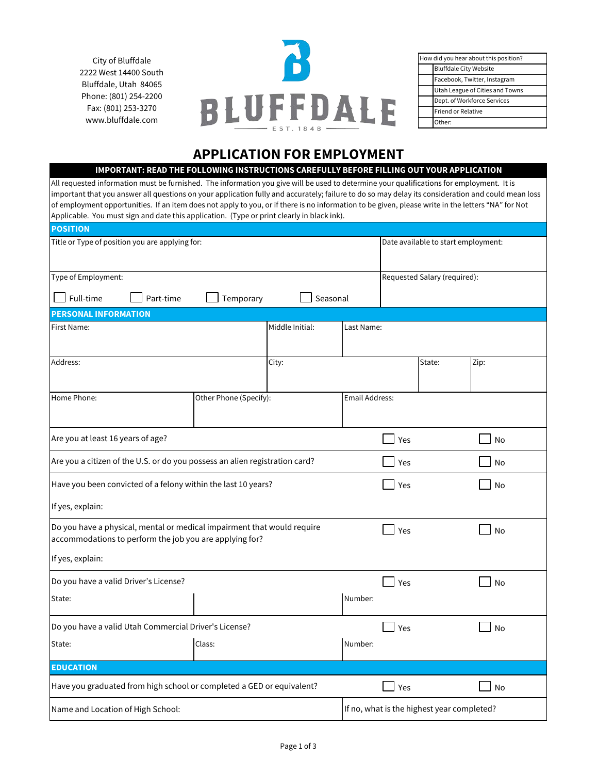City of Bluffdale 2222 West 14400 South Bluffdale, Utah 84065 Phone: (801) 254-2200 Fax: (801) 253-3270 www.bluffdale.com



| How did you hear about this position? |                                 |  |  |  |
|---------------------------------------|---------------------------------|--|--|--|
|                                       | <b>Bluffdale City Website</b>   |  |  |  |
|                                       | Facebook, Twitter, Instagram    |  |  |  |
|                                       | Utah League of Cities and Towns |  |  |  |
|                                       | Dept. of Workforce Services     |  |  |  |
|                                       | <b>Friend or Relative</b>       |  |  |  |
|                                       | Other:                          |  |  |  |

# **APPLICATION FOR EMPLOYMENT**

#### **IMPORTANT: READ THE FOLLOWING INSTRUCTIONS CAREFULLY BEFORE FILLING OUT YOUR APPLICATION**

All requested information must be furnished. The information you give will be used to determine your qualifications for employment. It is important that you answer all questions on your application fully and accurately; failure to do so may delay its consideration and could mean loss of employment opportunities. If an item does not apply to you, or if there is no information to be given, please write in the letters "NA" for Not Applicable. You must sign and date this application. (Type or print clearly in black ink).

| <b>POSITION</b>                                                                                                                    |                        |                 |                       |                                            |      |  |
|------------------------------------------------------------------------------------------------------------------------------------|------------------------|-----------------|-----------------------|--------------------------------------------|------|--|
| Title or Type of position you are applying for:                                                                                    |                        |                 |                       | Date available to start employment:        |      |  |
| Type of Employment:                                                                                                                |                        |                 |                       | Requested Salary (required):               |      |  |
| Full-time                                                                                                                          | Part-time              | Temporary       | Seasonal              |                                            |      |  |
| <b>PERSONAL INFORMATION</b>                                                                                                        |                        |                 |                       |                                            |      |  |
| First Name:                                                                                                                        |                        | Middle Initial: | Last Name:            |                                            |      |  |
| Address:                                                                                                                           |                        | City:           |                       | State:                                     | Zip: |  |
| Home Phone:                                                                                                                        | Other Phone (Specify): |                 | <b>Email Address:</b> |                                            |      |  |
| Are you at least 16 years of age?                                                                                                  |                        |                 |                       | Yes                                        | No   |  |
| Are you a citizen of the U.S. or do you possess an alien registration card?                                                        |                        |                 |                       | Yes                                        | No   |  |
| Have you been convicted of a felony within the last 10 years?                                                                      |                        |                 |                       | Yes                                        | No   |  |
| If yes, explain:                                                                                                                   |                        |                 |                       |                                            |      |  |
| Do you have a physical, mental or medical impairment that would require<br>accommodations to perform the job you are applying for? |                        |                 |                       | Yes                                        | No   |  |
| If yes, explain:                                                                                                                   |                        |                 |                       |                                            |      |  |
| Do you have a valid Driver's License?                                                                                              |                        |                 |                       | Yes                                        | No   |  |
| State:                                                                                                                             |                        |                 | Number:               |                                            |      |  |
| Do you have a valid Utah Commercial Driver's License?                                                                              |                        |                 |                       | Yes                                        | No   |  |
| State:                                                                                                                             | Class:                 |                 | Number:               |                                            |      |  |
| <b>EDUCATION</b>                                                                                                                   |                        |                 |                       |                                            |      |  |
| Have you graduated from high school or completed a GED or equivalent?                                                              |                        |                 |                       | Yes                                        | No   |  |
| Name and Location of High School:                                                                                                  |                        |                 |                       | If no, what is the highest year completed? |      |  |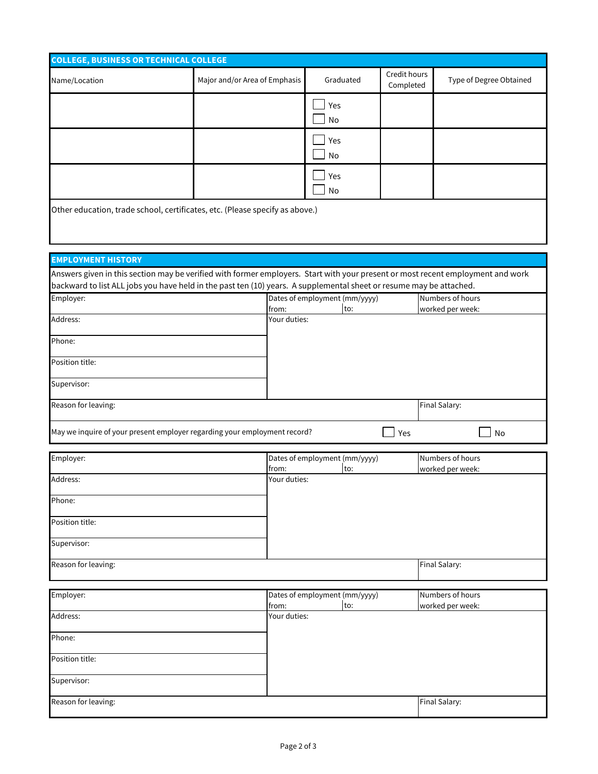| <b>COLLEGE, BUSINESS OR TECHNICAL COLLEGE</b>                                                                                   |                               |                                         |                               |     |                           |                  |                                      |
|---------------------------------------------------------------------------------------------------------------------------------|-------------------------------|-----------------------------------------|-------------------------------|-----|---------------------------|------------------|--------------------------------------|
| Name/Location                                                                                                                   | Major and/or Area of Emphasis |                                         | Graduated                     |     | Credit hours<br>Completed |                  | Type of Degree Obtained              |
|                                                                                                                                 |                               |                                         | Yes<br><b>No</b>              |     |                           |                  |                                      |
|                                                                                                                                 |                               |                                         | Yes<br>No                     |     |                           |                  |                                      |
|                                                                                                                                 |                               |                                         | Yes<br>No                     |     |                           |                  |                                      |
| Other education, trade school, certificates, etc. (Please specify as above.)                                                    |                               |                                         |                               |     |                           |                  |                                      |
| <b>EMPLOYMENT HISTORY</b>                                                                                                       |                               |                                         |                               |     |                           |                  |                                      |
| Answers given in this section may be verified with former employers. Start with your present or most recent employment and work |                               |                                         |                               |     |                           |                  |                                      |
| backward to list ALL jobs you have held in the past ten (10) years. A supplemental sheet or resume may be attached.             |                               |                                         |                               |     |                           |                  |                                      |
| Employer:                                                                                                                       |                               | Dates of employment (mm/yyyy)<br>from:  |                               |     |                           | Numbers of hours |                                      |
| Address:                                                                                                                        |                               | worked per week:<br>to:<br>Your duties: |                               |     |                           |                  |                                      |
| Phone:                                                                                                                          |                               |                                         |                               |     |                           |                  |                                      |
| Position title:                                                                                                                 |                               |                                         |                               |     |                           |                  |                                      |
| Supervisor:                                                                                                                     |                               |                                         |                               |     |                           |                  |                                      |
| Reason for leaving:                                                                                                             |                               |                                         |                               |     |                           | Final Salary:    |                                      |
| May we inquire of your present employer regarding your employment record?                                                       |                               |                                         |                               |     | Yes                       |                  | No                                   |
|                                                                                                                                 |                               |                                         |                               |     |                           |                  |                                      |
| Employer:                                                                                                                       |                               | from:                                   | Dates of employment (mm/yyyy) | to: |                           |                  | Numbers of hours<br>worked per week: |
| Address:                                                                                                                        |                               | Your duties:                            |                               |     |                           |                  |                                      |
| Phone:                                                                                                                          |                               |                                         |                               |     |                           |                  |                                      |
| Position title:                                                                                                                 |                               |                                         |                               |     |                           |                  |                                      |
| Supervisor:                                                                                                                     |                               |                                         |                               |     |                           |                  |                                      |
| Reason for leaving:                                                                                                             |                               |                                         |                               |     |                           | Final Salary:    |                                      |
| Employer:                                                                                                                       |                               |                                         | Dates of employment (mm/yyyy) |     |                           |                  | Numbers of hours                     |
| Address:                                                                                                                        |                               | from:<br>Your duties:                   |                               | to: |                           |                  | worked per week:                     |
|                                                                                                                                 |                               |                                         |                               |     |                           |                  |                                      |
| Phone:                                                                                                                          |                               |                                         |                               |     |                           |                  |                                      |

| Position title:     |               |
|---------------------|---------------|
|                     |               |
| Supervisor:         |               |
|                     |               |
| Reason for leaving: | Final Salary: |
|                     |               |
|                     |               |

L